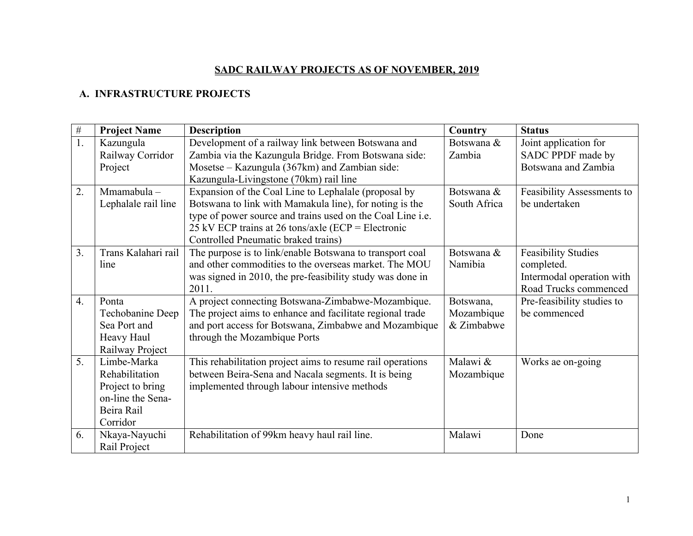## **SADC RAILWAY PROJECTS AS OF NOVEMBER, 2019**

## **A. INFRASTRUCTURE PROJECTS**

| $\#$ | <b>Project Name</b> | <b>Description</b>                                         | Country      | <b>Status</b>              |
|------|---------------------|------------------------------------------------------------|--------------|----------------------------|
| 1.   | Kazungula           | Development of a railway link between Botswana and         | Botswana &   | Joint application for      |
|      | Railway Corridor    | Zambia via the Kazungula Bridge. From Botswana side:       | Zambia       | SADC PPDF made by          |
|      | Project             | Mosetse – Kazungula (367km) and Zambian side:              |              | Botswana and Zambia        |
|      |                     | Kazungula-Livingstone (70km) rail line                     |              |                            |
| 2.   | Mmamabula-          | Expansion of the Coal Line to Lephalale (proposal by       | Botswana &   | Feasibility Assessments to |
|      | Lephalale rail line | Botswana to link with Mamakula line), for noting is the    | South Africa | be undertaken              |
|      |                     | type of power source and trains used on the Coal Line i.e. |              |                            |
|      |                     | 25 kV ECP trains at 26 tons/axle (ECP = Electronic         |              |                            |
|      |                     | Controlled Pneumatic braked trains)                        |              |                            |
| 3.   | Trans Kalahari rail | The purpose is to link/enable Botswana to transport coal   | Botswana &   | <b>Feasibility Studies</b> |
|      | line                | and other commodities to the overseas market. The MOU      | Namibia      | completed.                 |
|      |                     | was signed in 2010, the pre-feasibility study was done in  |              | Intermodal operation with  |
|      |                     | 2011.                                                      |              | Road Trucks commenced      |
| 4.   | Ponta               | A project connecting Botswana-Zimbabwe-Mozambique.         | Botswana,    | Pre-feasibility studies to |
|      | Techobanine Deep    | The project aims to enhance and facilitate regional trade  | Mozambique   | be commenced               |
|      | Sea Port and        | and port access for Botswana, Zimbabwe and Mozambique      | & Zimbabwe   |                            |
|      | Heavy Haul          | through the Mozambique Ports                               |              |                            |
|      | Railway Project     |                                                            |              |                            |
| 5.   | Limbe-Marka         | This rehabilitation project aims to resume rail operations | Malawi &     | Works ae on-going          |
|      | Rehabilitation      | between Beira-Sena and Nacala segments. It is being        | Mozambique   |                            |
|      | Project to bring    | implemented through labour intensive methods               |              |                            |
|      | on-line the Sena-   |                                                            |              |                            |
|      | Beira Rail          |                                                            |              |                            |
|      | Corridor            |                                                            |              |                            |
| 6.   | Nkaya-Nayuchi       | Rehabilitation of 99km heavy haul rail line.               | Malawi       | Done                       |
|      | Rail Project        |                                                            |              |                            |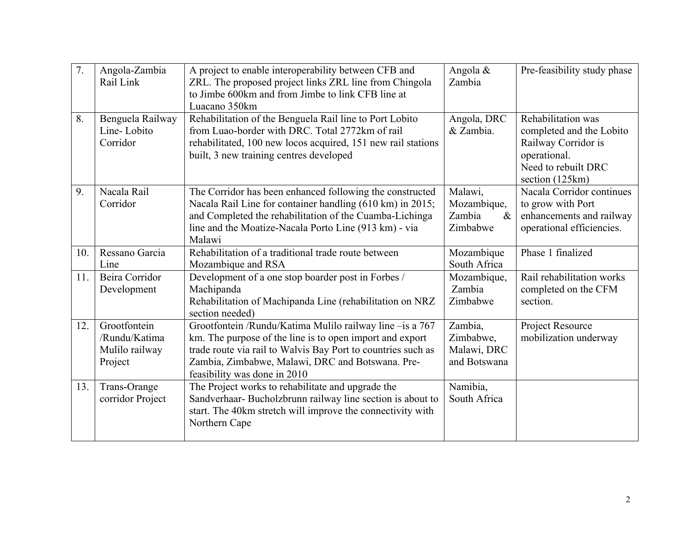| 7.  | Angola-Zambia<br>Rail Link                                 | A project to enable interoperability between CFB and<br>ZRL. The proposed project links ZRL line from Chingola<br>to Jimbe 600km and from Jimbe to link CFB line at<br>Luacano 350km                                                                                     | Angola &<br>Zambia                                   | Pre-feasibility study phase                                                                                                     |
|-----|------------------------------------------------------------|--------------------------------------------------------------------------------------------------------------------------------------------------------------------------------------------------------------------------------------------------------------------------|------------------------------------------------------|---------------------------------------------------------------------------------------------------------------------------------|
| 8.  | Benguela Railway<br>Line-Lobito<br>Corridor                | Rehabilitation of the Benguela Rail line to Port Lobito<br>from Luao-border with DRC. Total 2772km of rail<br>rehabilitated, 100 new locos acquired, 151 new rail stations<br>built, 3 new training centres developed                                                    | Angola, DRC<br>& Zambia.                             | Rehabilitation was<br>completed and the Lobito<br>Railway Corridor is<br>operational.<br>Need to rebuilt DRC<br>section (125km) |
| 9.  | Nacala Rail<br>Corridor                                    | The Corridor has been enhanced following the constructed<br>Nacala Rail Line for container handling (610 km) in 2015;<br>and Completed the rehabilitation of the Cuamba-Lichinga<br>line and the Moatize-Nacala Porto Line (913 km) - via<br>Malawi                      | Malawi,<br>Mozambique,<br>Zambia<br>$\&$<br>Zimbabwe | Nacala Corridor continues<br>to grow with Port<br>enhancements and railway<br>operational efficiencies.                         |
| 10. | Ressano Garcia<br>Line                                     | Rehabilitation of a traditional trade route between<br>Mozambique and RSA                                                                                                                                                                                                | Mozambique<br>South Africa                           | Phase 1 finalized                                                                                                               |
| 11. | Beira Corridor<br>Development                              | Development of a one stop boarder post in Forbes /<br>Machipanda<br>Rehabilitation of Machipanda Line (rehabilitation on NRZ<br>section needed)                                                                                                                          | Mozambique,<br>Zambia<br>Zimbabwe                    | Rail rehabilitation works<br>completed on the CFM<br>section.                                                                   |
| 12. | Grootfontein<br>/Rundu/Katima<br>Mulilo railway<br>Project | Grootfontein /Rundu/Katima Mulilo railway line -is a 767<br>km. The purpose of the line is to open import and export<br>trade route via rail to Walvis Bay Port to countries such as<br>Zambia, Zimbabwe, Malawi, DRC and Botswana. Pre-<br>feasibility was done in 2010 | Zambia,<br>Zimbabwe,<br>Malawi, DRC<br>and Botswana  | Project Resource<br>mobilization underway                                                                                       |
| 13. | Trans-Orange<br>corridor Project                           | The Project works to rehabilitate and upgrade the<br>Sandverhaar- Bucholzbrunn railway line section is about to<br>start. The 40km stretch will improve the connectivity with<br>Northern Cape                                                                           | Namibia,<br>South Africa                             |                                                                                                                                 |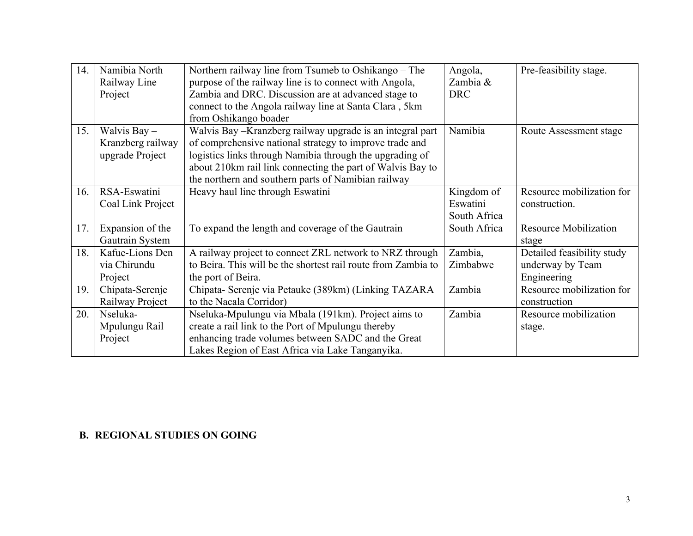| 14. | Namibia North     | Northern railway line from Tsumeb to Oshikango – The          | Angola,      | Pre-feasibility stage.       |
|-----|-------------------|---------------------------------------------------------------|--------------|------------------------------|
|     | Railway Line      | purpose of the railway line is to connect with Angola,        | Zambia &     |                              |
|     | Project           | Zambia and DRC. Discussion are at advanced stage to           | <b>DRC</b>   |                              |
|     |                   | connect to the Angola railway line at Santa Clara, 5km        |              |                              |
|     |                   | from Oshikango boader                                         |              |                              |
| 15. | Walvis Bay -      | Walvis Bay - Kranzberg railway upgrade is an integral part    | Namibia      | Route Assessment stage       |
|     | Kranzberg railway | of comprehensive national strategy to improve trade and       |              |                              |
|     | upgrade Project   | logistics links through Namibia through the upgrading of      |              |                              |
|     |                   | about 210km rail link connecting the part of Walvis Bay to    |              |                              |
|     |                   | the northern and southern parts of Namibian railway           |              |                              |
| 16. | RSA-Eswatini      | Heavy haul line through Eswatini                              | Kingdom of   | Resource mobilization for    |
|     | Coal Link Project |                                                               | Eswatini     | construction.                |
|     |                   |                                                               | South Africa |                              |
| 17. | Expansion of the  | To expand the length and coverage of the Gautrain             | South Africa | <b>Resource Mobilization</b> |
|     | Gautrain System   |                                                               |              | stage                        |
| 18. | Kafue-Lions Den   | A railway project to connect ZRL network to NRZ through       | Zambia,      | Detailed feasibility study   |
|     | via Chirundu      | to Beira. This will be the shortest rail route from Zambia to | Zimbabwe     | underway by Team             |
|     | Project           | the port of Beira.                                            |              | Engineering                  |
| 19. | Chipata-Serenje   | Chipata- Serenje via Petauke (389km) (Linking TAZARA          | Zambia       | Resource mobilization for    |
|     | Railway Project   | to the Nacala Corridor)                                       |              | construction                 |
| 20. | Nseluka-          | Nseluka-Mpulungu via Mbala (191km). Project aims to           | Zambia       | Resource mobilization        |
|     | Mpulungu Rail     | create a rail link to the Port of Mpulungu thereby            |              | stage.                       |
|     | Project           | enhancing trade volumes between SADC and the Great            |              |                              |
|     |                   | Lakes Region of East Africa via Lake Tanganyika.              |              |                              |

## **B. REGIONAL STUDIES ON GOING**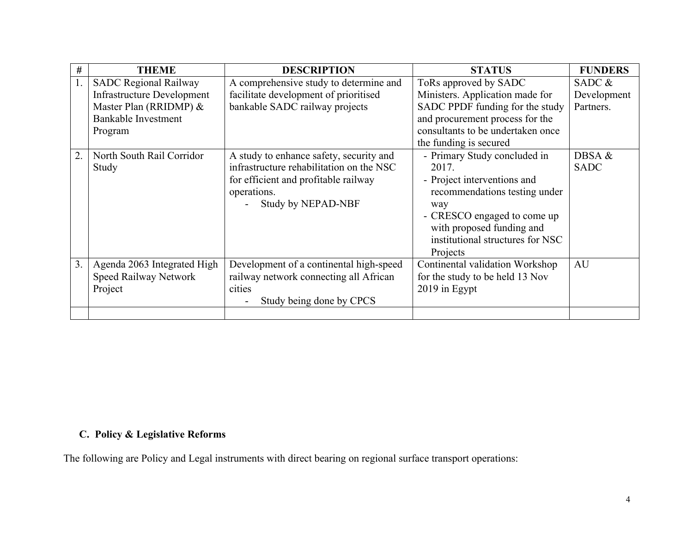| #  | <b>THEME</b>                      | <b>DESCRIPTION</b>                       | <b>STATUS</b>                     | <b>FUNDERS</b> |
|----|-----------------------------------|------------------------------------------|-----------------------------------|----------------|
|    | <b>SADC Regional Railway</b>      | A comprehensive study to determine and   | ToRs approved by SADC             | SADC $\&$      |
|    | <b>Infrastructure Development</b> | facilitate development of prioritised    | Ministers. Application made for   | Development    |
|    | Master Plan (RRIDMP) &            | bankable SADC railway projects           | SADC PPDF funding for the study   | Partners.      |
|    | <b>Bankable Investment</b>        |                                          | and procurement process for the   |                |
|    | Program                           |                                          | consultants to be undertaken once |                |
|    |                                   |                                          | the funding is secured            |                |
| 2. | North South Rail Corridor         | A study to enhance safety, security and  | - Primary Study concluded in      | DBSA &         |
|    | Study                             | infrastructure rehabilitation on the NSC | 2017.                             | <b>SADC</b>    |
|    |                                   | for efficient and profitable railway     | - Project interventions and       |                |
|    |                                   | operations.                              | recommendations testing under     |                |
|    |                                   | <b>Study by NEPAD-NBF</b>                | way                               |                |
|    |                                   |                                          | - CRESCO engaged to come up       |                |
|    |                                   |                                          | with proposed funding and         |                |
|    |                                   |                                          | institutional structures for NSC  |                |
|    |                                   |                                          | Projects                          |                |
| 3. | Agenda 2063 Integrated High       | Development of a continental high-speed  | Continental validation Workshop   | AU             |
|    | Speed Railway Network             | railway network connecting all African   | for the study to be held 13 Nov   |                |
|    | Project                           | cities                                   | 2019 in Egypt                     |                |
|    |                                   | Study being done by CPCS                 |                                   |                |
|    |                                   |                                          |                                   |                |

## **C. Policy & Legislative Reforms**

The following are Policy and Legal instruments with direct bearing on regional surface transport operations: